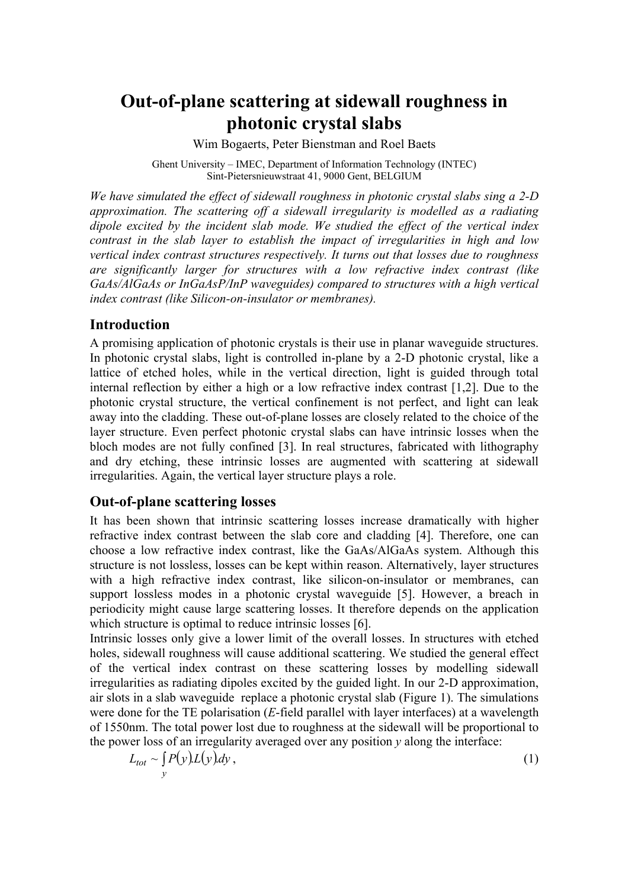# **Out-of-plane scattering at sidewall roughness in photonic crystal slabs**

Wim Bogaerts, Peter Bienstman and Roel Baets

Ghent University – IMEC, Department of Information Technology (INTEC) Sint-Pietersnieuwstraat 41, 9000 Gent, BELGIUM

*We have simulated the effect of sidewall roughness in photonic crystal slabs sing a 2-D approximation. The scattering off a sidewall irregularity is modelled as a radiating dipole excited by the incident slab mode. We studied the effect of the vertical index contrast in the slab layer to establish the impact of irregularities in high and low vertical index contrast structures respectively. It turns out that losses due to roughness are significantly larger for structures with a low refractive index contrast (like GaAs/AlGaAs or InGaAsP/InP waveguides) compared to structures with a high vertical index contrast (like Silicon-on-insulator or membranes).*

## **Introduction**

A promising application of photonic crystals is their use in planar waveguide structures. In photonic crystal slabs, light is controlled in-plane by a 2-D photonic crystal, like a lattice of etched holes, while in the vertical direction, light is guided through total internal reflection by either a high or a low refractive index contrast [1,2]. Due to the photonic crystal structure, the vertical confinement is not perfect, and light can leak away into the cladding. These out-of-plane losses are closely related to the choice of the layer structure. Even perfect photonic crystal slabs can have intrinsic losses when the bloch modes are not fully confined [3]. In real structures, fabricated with lithography and dry etching, these intrinsic losses are augmented with scattering at sidewall irregularities. Again, the vertical layer structure plays a role.

### **Out-of-plane scattering losses**

It has been shown that intrinsic scattering losses increase dramatically with higher refractive index contrast between the slab core and cladding [4]. Therefore, one can choose a low refractive index contrast, like the GaAs/AlGaAs system. Although this structure is not lossless, losses can be kept within reason. Alternatively, layer structures with a high refractive index contrast, like silicon-on-insulator or membranes, can support lossless modes in a photonic crystal waveguide [5]. However, a breach in periodicity might cause large scattering losses. It therefore depends on the application which structure is optimal to reduce intrinsic losses [6].

Intrinsic losses only give a lower limit of the overall losses. In structures with etched holes, sidewall roughness will cause additional scattering. We studied the general effect of the vertical index contrast on these scattering losses by modelling sidewall irregularities as radiating dipoles excited by the guided light. In our 2-D approximation, air slots in a slab waveguide replace a photonic crystal slab (Figure 1). The simulations were done for the TE polarisation (*E*-field parallel with layer interfaces) at a wavelength of 1550nm. The total power lost due to roughness at the sidewall will be proportional to the power loss of an irregularity averaged over any position *y* along the interface:

$$
L_{tot} \sim \int_{y} P(y) L(y) dy,
$$
 (1)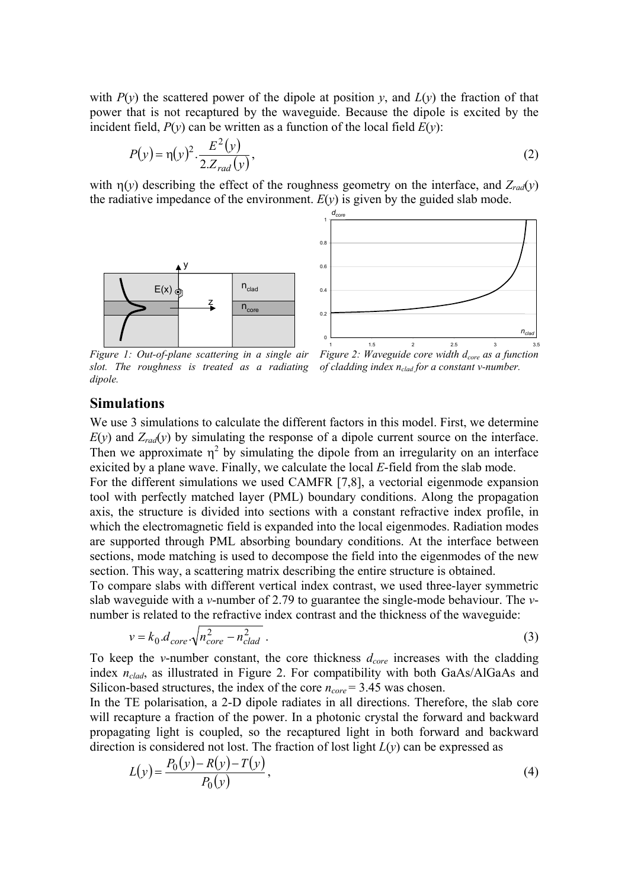with  $P(y)$  the scattered power of the dipole at position *y*, and  $L(y)$  the fraction of that power that is not recaptured by the waveguide. Because the dipole is excited by the incident field,  $P(y)$  can be written as a function of the local field  $E(y)$ :

$$
P(y) = \eta(y)^2 \cdot \frac{E^2(y)}{2 \cdot Z_{rad}(y)},
$$
\n(2)

with  $\eta(y)$  describing the effect of the roughness geometry on the interface, and  $Z_{rad}(y)$ the radiative impedance of the environment.  $E(y)$  is given by the guided slab mode.





*Figure 1: Out-of-plane scattering in a single air slot. The roughness is treated as a radiating dipole.*

*Figure 2: Waveguide core width d<sub>core</sub> as a function of cladding index nclad for a constant v-number.*

#### **Simulations**

We use 3 simulations to calculate the different factors in this model. First, we determine  $E(y)$  and  $Z_{rad}(y)$  by simulating the response of a dipole current source on the interface. Then we approximate  $\eta^2$  by simulating the dipole from an irregularity on an interface exicited by a plane wave. Finally, we calculate the local *E*-field from the slab mode.

For the different simulations we used CAMFR [7,8], a vectorial eigenmode expansion tool with perfectly matched layer (PML) boundary conditions. Along the propagation axis, the structure is divided into sections with a constant refractive index profile, in which the electromagnetic field is expanded into the local eigenmodes. Radiation modes are supported through PML absorbing boundary conditions. At the interface between sections, mode matching is used to decompose the field into the eigenmodes of the new section. This way, a scattering matrix describing the entire structure is obtained.

To compare slabs with different vertical index contrast, we used three-layer symmetric slab waveguide with a *v*-number of 2.79 to guarantee the single-mode behaviour. The *v*number is related to the refractive index contrast and the thickness of the waveguide:

$$
v = k_0 \, d_{\text{core}} \cdot \sqrt{n_{\text{core}}^2 - n_{\text{clad}}^2} \,. \tag{3}
$$

To keep the *v*-number constant, the core thickness  $d_{core}$  increases with the cladding index *nclad*, as illustrated in Figure 2. For compatibility with both GaAs/AlGaAs and Silicon-based structures, the index of the core  $n_{core} = 3.45$  was chosen.

In the TE polarisation, a 2-D dipole radiates in all directions. Therefore, the slab core will recapture a fraction of the power. In a photonic crystal the forward and backward propagating light is coupled, so the recaptured light in both forward and backward direction is considered not lost. The fraction of lost light *L*(*y*) can be expressed as

$$
L(y) = \frac{P_0(y) - R(y) - T(y)}{P_0(y)},
$$
\n(4)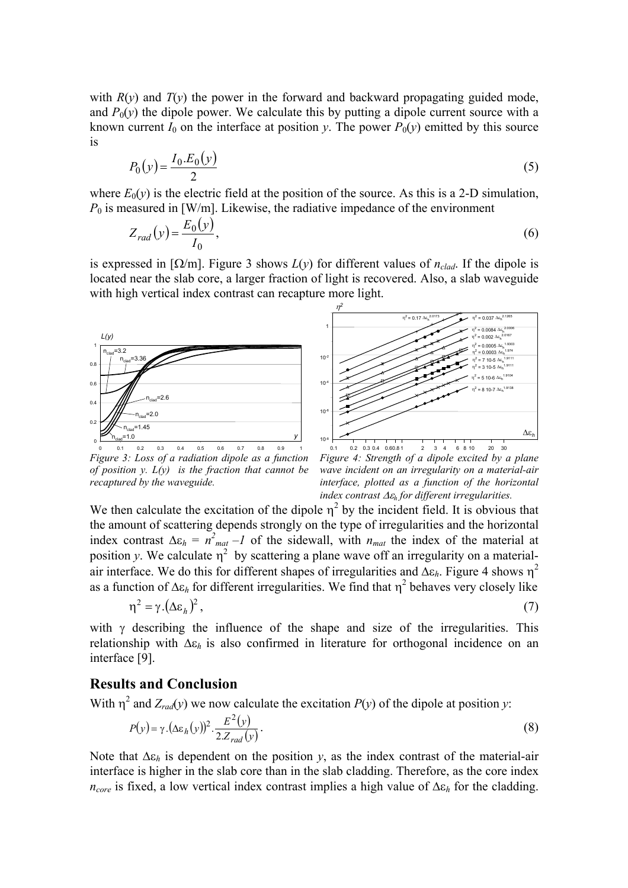with  $R(y)$  and  $T(y)$  the power in the forward and backward propagating guided mode, and  $P_0(y)$  the dipole power. We calculate this by putting a dipole current source with a known current  $I_0$  on the interface at position *y*. The power  $P_0(y)$  emitted by this source is

$$
P_0(y) = \frac{I_0.E_0(y)}{2} \tag{5}
$$

where  $E_0(v)$  is the electric field at the position of the source. As this is a 2-D simulation,  $P_0$  is measured in [W/m]. Likewise, the radiative impedance of the environment

$$
Z_{rad}(y) = \frac{E_0(y)}{I_0},\tag{6}
$$

is expressed in  $[\Omega/m]$ . Figure 3 shows  $L(y)$  for different values of  $n_{clad}$ . If the dipole is located near the slab core, a larger fraction of light is recovered. Also, a slab waveguide with high vertical index contrast can recapture more light.





*Figure 3: Loss of a radiation dipole as a function of position y. L(y) is the fraction that cannot be recaptured by the waveguide.*

*Figure 4: Strength of a dipole excited by a plane wave incident on an irregularity on a material-air interface, plotted as a function of the horizontal index contrast* ∆ε*h for different irregularities.*

We then calculate the excitation of the dipole  $\eta^2$  by the incident field. It is obvious that the amount of scattering depends strongly on the type of irregularities and the horizontal index contrast  $\Delta \varepsilon_h = n^2_{mat} - 1$  of the sidewall, with  $n_{mat}$  the index of the material at position *y*. We calculate  $\eta^2$  by scattering a plane wave off an irregularity on a materialair interface. We do this for different shapes of irregularities and ∆ε*h*. Figure 4 shows η<sup>2</sup> as a function of  $\Delta \varepsilon_h$  for different irregularities. We find that  $\eta^2$  behaves very closely like  $n^2 = \gamma \left( \Delta \varepsilon_h \right)^2$ .

with  $\gamma$  describing the influence of the shape and size of the irregularities. This relationship with ∆ε*h* is also confirmed in literature for orthogonal incidence on an interface [9].

## **Results and Conclusion**

With  $\eta^2$  and  $Z_{rad}(y)$  we now calculate the excitation  $P(y)$  of the dipole at position *y*:

$$
P(y) = \gamma \cdot (\Delta \varepsilon_h(y))^2 \cdot \frac{E^2(y)}{2.Z_{rad}(y)}.
$$
\n(8)

Note that ∆ε*h* is dependent on the position *y*, as the index contrast of the material-air interface is higher in the slab core than in the slab cladding. Therefore, as the core index *ncore* is fixed, a low vertical index contrast implies a high value of ∆ε*h* for the cladding.